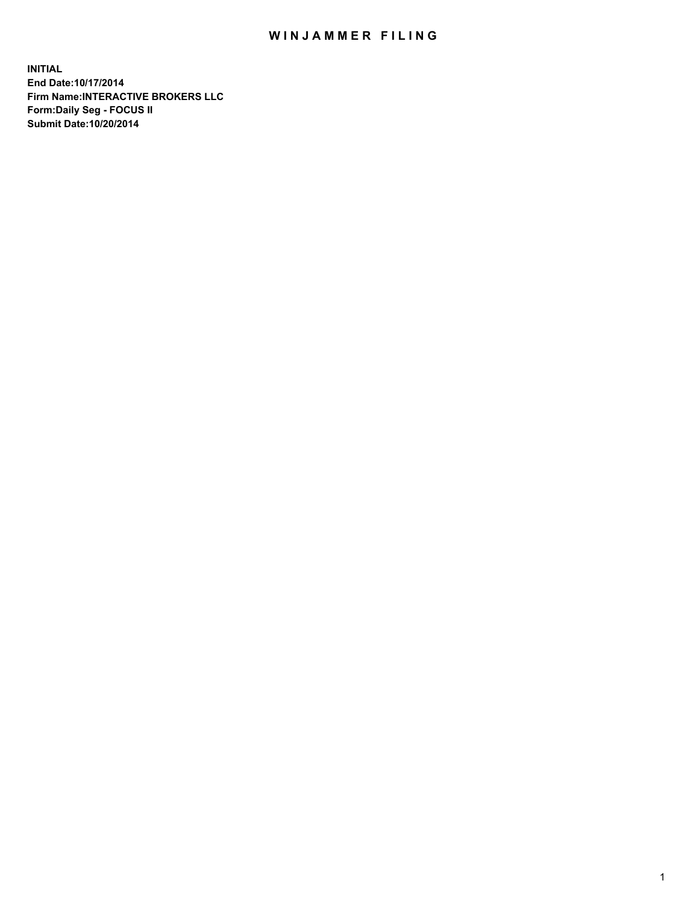## WIN JAMMER FILING

**INITIAL End Date:10/17/2014 Firm Name:INTERACTIVE BROKERS LLC Form:Daily Seg - FOCUS II Submit Date:10/20/2014**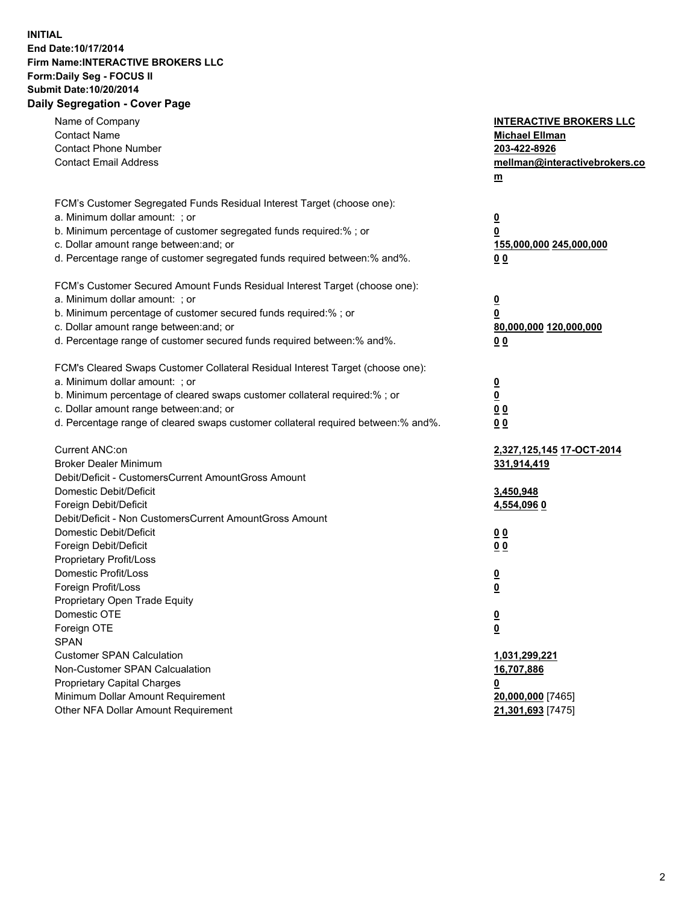## **INITIAL End Date:10/17/2014 Firm Name:INTERACTIVE BROKERS LLC Form:Daily Seg - FOCUS II Submit Date:10/20/2014 Daily Segregation - Cover Page**

| Name of Company<br><b>Contact Name</b><br><b>Contact Phone Number</b><br><b>Contact Email Address</b>                                                                                                                                                                                                                          | <b>INTERACTIVE BROKERS LLC</b><br><b>Michael Ellman</b><br>203-422-8926<br>mellman@interactivebrokers.co<br>$m$ |
|--------------------------------------------------------------------------------------------------------------------------------------------------------------------------------------------------------------------------------------------------------------------------------------------------------------------------------|-----------------------------------------------------------------------------------------------------------------|
| FCM's Customer Segregated Funds Residual Interest Target (choose one):<br>a. Minimum dollar amount: ; or<br>b. Minimum percentage of customer segregated funds required:% ; or<br>c. Dollar amount range between: and; or<br>d. Percentage range of customer segregated funds required between:% and%.                         | <u>0</u><br><u>0</u><br>155,000,000 245,000,000<br>0 <sub>0</sub>                                               |
| FCM's Customer Secured Amount Funds Residual Interest Target (choose one):<br>a. Minimum dollar amount: ; or<br>b. Minimum percentage of customer secured funds required:% ; or<br>c. Dollar amount range between: and; or<br>d. Percentage range of customer secured funds required between:% and%.                           | <u>0</u><br>0<br>80,000,000 120,000,000<br>0 <sub>0</sub>                                                       |
| FCM's Cleared Swaps Customer Collateral Residual Interest Target (choose one):<br>a. Minimum dollar amount: ; or<br>b. Minimum percentage of cleared swaps customer collateral required:% ; or<br>c. Dollar amount range between: and; or<br>d. Percentage range of cleared swaps customer collateral required between:% and%. | $\overline{\mathbf{0}}$<br>$\underline{\mathbf{0}}$<br>0 <sub>0</sub><br>0 <sub>0</sub>                         |
| Current ANC:on<br><b>Broker Dealer Minimum</b><br>Debit/Deficit - CustomersCurrent AmountGross Amount<br>Domestic Debit/Deficit<br>Foreign Debit/Deficit                                                                                                                                                                       | <u>2,327,125,145 17-OCT-2014</u><br>331,914,419<br>3,450,948<br>4,554,096 0                                     |
| Debit/Deficit - Non CustomersCurrent AmountGross Amount<br>Domestic Debit/Deficit<br>Foreign Debit/Deficit<br>Proprietary Profit/Loss<br>Domestic Profit/Loss<br>Foreign Profit/Loss                                                                                                                                           | 0 <sub>0</sub><br>0 <sub>0</sub><br><u>0</u><br><u>0</u>                                                        |
| Proprietary Open Trade Equity<br>Domestic OTE<br>Foreign OTE<br><b>SPAN</b><br><b>Customer SPAN Calculation</b><br>Non-Customer SPAN Calcualation                                                                                                                                                                              | <u>0</u><br><u>0</u><br>1,031,299,221<br>16,707,886                                                             |
| <b>Proprietary Capital Charges</b><br>Minimum Dollar Amount Requirement<br>Other NFA Dollar Amount Requirement                                                                                                                                                                                                                 | <u>0</u><br>20,000,000 [7465]<br>21,301,693 [7475]                                                              |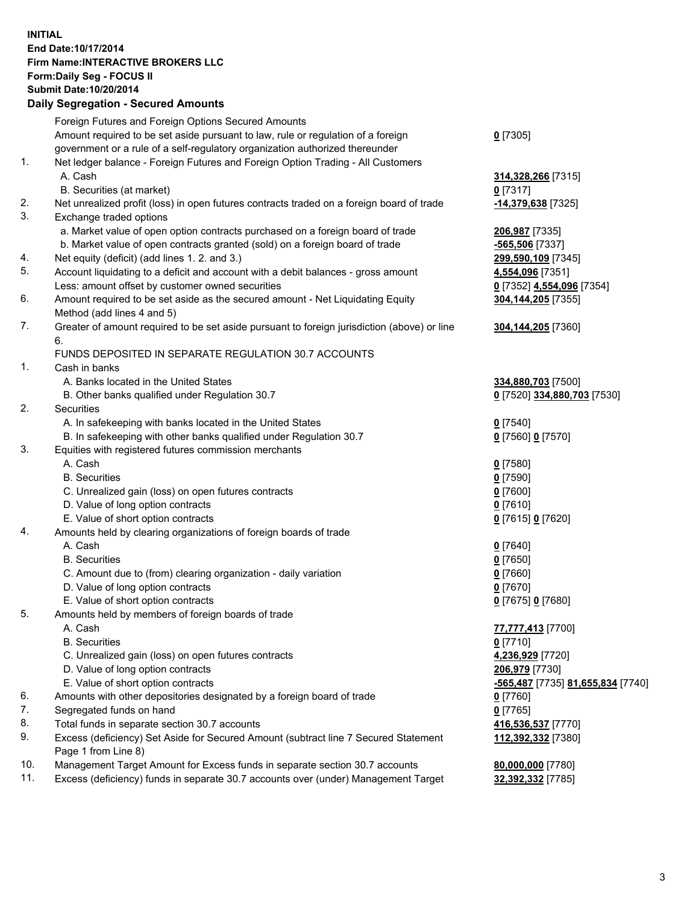## **INITIAL End Date:10/17/2014 Firm Name:INTERACTIVE BROKERS LLC Form:Daily Seg - FOCUS II Submit Date:10/20/2014 Daily Segregation - Secured Amounts**

|                | Daily Ocglegation - Occarea Anioants                                                        |                                   |
|----------------|---------------------------------------------------------------------------------------------|-----------------------------------|
|                | Foreign Futures and Foreign Options Secured Amounts                                         |                                   |
|                | Amount required to be set aside pursuant to law, rule or regulation of a foreign            | $0$ [7305]                        |
|                | government or a rule of a self-regulatory organization authorized thereunder                |                                   |
| 1.             | Net ledger balance - Foreign Futures and Foreign Option Trading - All Customers             |                                   |
|                | A. Cash                                                                                     | 314,328,266 [7315]                |
|                | B. Securities (at market)                                                                   | $0$ [7317]                        |
| 2.             | Net unrealized profit (loss) in open futures contracts traded on a foreign board of trade   | -14,379,638 [7325]                |
| 3.             | Exchange traded options                                                                     |                                   |
|                | a. Market value of open option contracts purchased on a foreign board of trade              | 206,987 [7335]                    |
|                | b. Market value of open contracts granted (sold) on a foreign board of trade                | -565,506 [7337]                   |
| 4.             | Net equity (deficit) (add lines 1.2. and 3.)                                                | 299,590,109 [7345]                |
| 5.             | Account liquidating to a deficit and account with a debit balances - gross amount           | 4,554,096 [7351]                  |
|                | Less: amount offset by customer owned securities                                            | 0 [7352] 4,554,096 [7354]         |
| 6.             | Amount required to be set aside as the secured amount - Net Liquidating Equity              | 304,144,205 [7355]                |
|                | Method (add lines 4 and 5)                                                                  |                                   |
| 7.             | Greater of amount required to be set aside pursuant to foreign jurisdiction (above) or line | 304, 144, 205 [7360]              |
|                | 6.                                                                                          |                                   |
|                | FUNDS DEPOSITED IN SEPARATE REGULATION 30.7 ACCOUNTS                                        |                                   |
| $\mathbf{1}$ . | Cash in banks                                                                               |                                   |
|                | A. Banks located in the United States                                                       | 334,880,703 [7500]                |
|                | B. Other banks qualified under Regulation 30.7                                              | 0 [7520] 334,880,703 [7530]       |
| 2.             | Securities                                                                                  |                                   |
|                | A. In safekeeping with banks located in the United States                                   | $0$ [7540]                        |
|                | B. In safekeeping with other banks qualified under Regulation 30.7                          | 0 [7560] 0 [7570]                 |
| 3.             | Equities with registered futures commission merchants                                       |                                   |
|                | A. Cash                                                                                     | $0$ [7580]                        |
|                | <b>B.</b> Securities                                                                        | $0$ [7590]                        |
|                | C. Unrealized gain (loss) on open futures contracts                                         | $0$ [7600]                        |
|                | D. Value of long option contracts                                                           | $0$ [7610]                        |
|                | E. Value of short option contracts                                                          | 0 [7615] 0 [7620]                 |
| 4.             | Amounts held by clearing organizations of foreign boards of trade                           |                                   |
|                | A. Cash                                                                                     | $0$ [7640]                        |
|                | <b>B.</b> Securities                                                                        | $0$ [7650]                        |
|                | C. Amount due to (from) clearing organization - daily variation                             | $0$ [7660]                        |
|                | D. Value of long option contracts                                                           | $0$ [7670]                        |
|                | E. Value of short option contracts                                                          | 0 [7675] 0 [7680]                 |
| 5.             | Amounts held by members of foreign boards of trade                                          |                                   |
|                | A. Cash                                                                                     | 77,777,413 [7700]                 |
|                | <b>B.</b> Securities                                                                        | $0$ [7710]                        |
|                | C. Unrealized gain (loss) on open futures contracts                                         | 4,236,929 [7720]                  |
|                | D. Value of long option contracts                                                           | 206,979 [7730]                    |
|                | E. Value of short option contracts                                                          | -565,487 [7735] 81,655,834 [7740] |
| 6.             | Amounts with other depositories designated by a foreign board of trade                      | $0$ [7760]                        |
| 7.             | Segregated funds on hand                                                                    | $0$ [7765]                        |
| 8.             | Total funds in separate section 30.7 accounts                                               | 416,536,537 [7770]                |
| 9.             | Excess (deficiency) Set Aside for Secured Amount (subtract line 7 Secured Statement         | 112,392,332 [7380]                |
|                | Page 1 from Line 8)                                                                         |                                   |
| 10.            | Management Target Amount for Excess funds in separate section 30.7 accounts                 | 80,000,000 [7780]                 |
| 11.            | Excess (deficiency) funds in separate 30.7 accounts over (under) Management Target          | 32,392,332 [7785]                 |
|                |                                                                                             |                                   |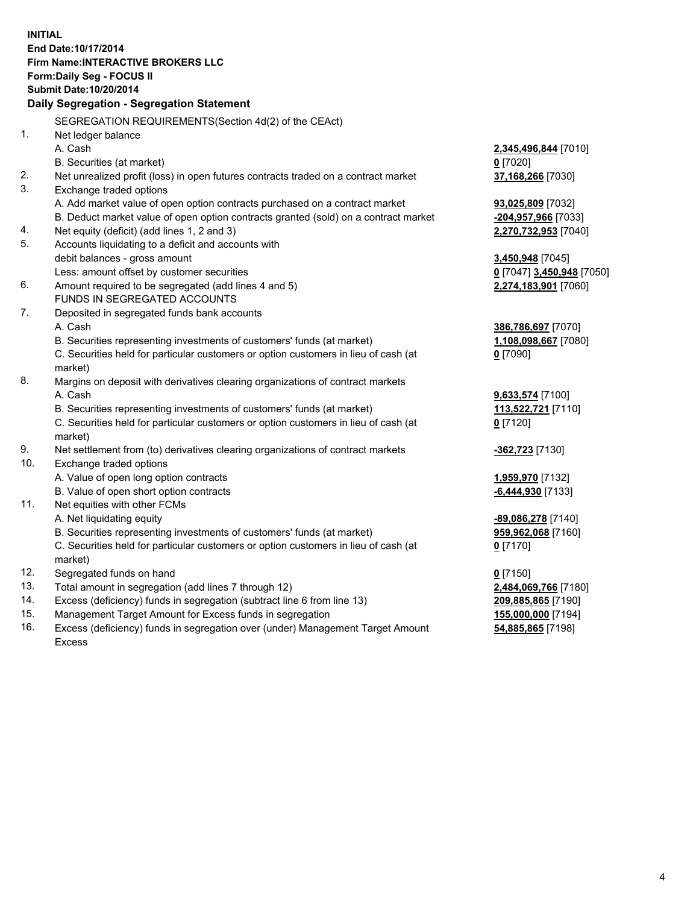**INITIAL End Date:10/17/2014 Firm Name:INTERACTIVE BROKERS LLC Form:Daily Seg - FOCUS II Submit Date:10/20/2014 Daily Segregation - Segregation Statement** SEGREGATION REQUIREMENTS(Section 4d(2) of the CEAct) 1. Net ledger balance A. Cash **2,345,496,844** [7010] B. Securities (at market) **0** [7020] 2. Net unrealized profit (loss) in open futures contracts traded on a contract market **37,168,266** [7030] 3. Exchange traded options A. Add market value of open option contracts purchased on a contract market **93,025,809** [7032] B. Deduct market value of open option contracts granted (sold) on a contract market **-204,957,966** [7033] 4. Net equity (deficit) (add lines 1, 2 and 3) **2,270,732,953** [7040] 5. Accounts liquidating to a deficit and accounts with debit balances - gross amount **3,450,948** [7045] Less: amount offset by customer securities **0** [7047] **3,450,948** [7050] 6. Amount required to be segregated (add lines 4 and 5) **2,274,183,901** [7060] FUNDS IN SEGREGATED ACCOUNTS 7. Deposited in segregated funds bank accounts A. Cash **386,786,697** [7070] B. Securities representing investments of customers' funds (at market) **1,108,098,667** [7080] C. Securities held for particular customers or option customers in lieu of cash (at market) **0** [7090] 8. Margins on deposit with derivatives clearing organizations of contract markets A. Cash **9,633,574** [7100] B. Securities representing investments of customers' funds (at market) **113,522,721** [7110] C. Securities held for particular customers or option customers in lieu of cash (at market) **0** [7120] 9. Net settlement from (to) derivatives clearing organizations of contract markets **-362,723** [7130] 10. Exchange traded options A. Value of open long option contracts **1,959,970** [7132] B. Value of open short option contracts **-6,444,930** [7133] 11. Net equities with other FCMs A. Net liquidating equity **-89,086,278** [7140] B. Securities representing investments of customers' funds (at market) **959,962,068** [7160] C. Securities held for particular customers or option customers in lieu of cash (at market) **0** [7170] 12. Segregated funds on hand **0** [7150] 13. Total amount in segregation (add lines 7 through 12) **2,484,069,766** [7180] 14. Excess (deficiency) funds in segregation (subtract line 6 from line 13) **209,885,865** [7190] 15. Management Target Amount for Excess funds in segregation **155,000,000** [7194]

16. Excess (deficiency) funds in segregation over (under) Management Target Amount Excess

**54,885,865** [7198]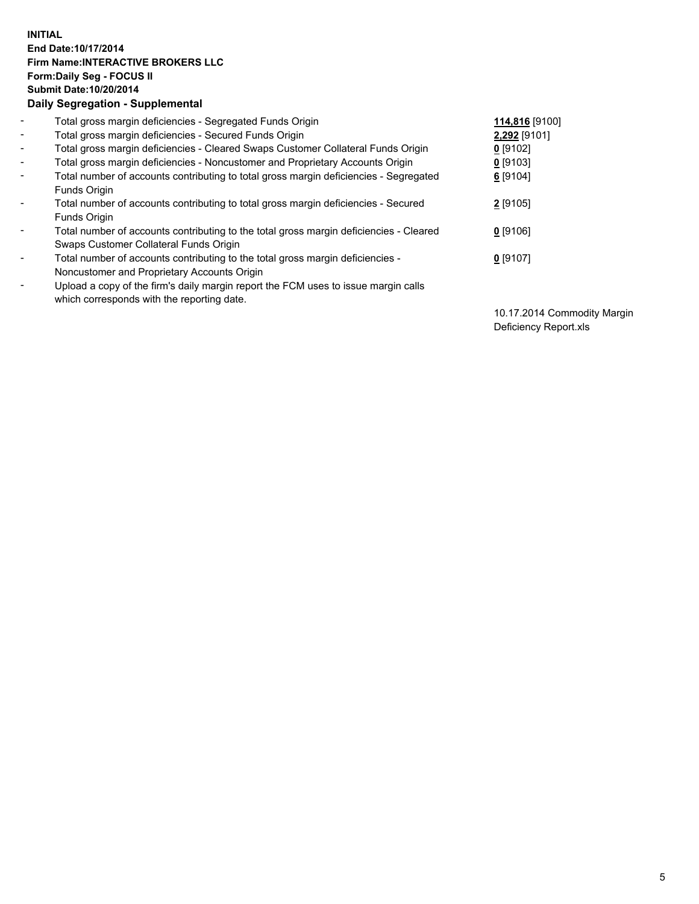## **INITIAL End Date:10/17/2014 Firm Name:INTERACTIVE BROKERS LLC Form:Daily Seg - FOCUS II Submit Date:10/20/2014 Daily Segregation - Supplemental**

| $\blacksquare$ | Total gross margin deficiencies - Segregated Funds Origin                              | 114,816 [9100] |
|----------------|----------------------------------------------------------------------------------------|----------------|
| $\blacksquare$ | Total gross margin deficiencies - Secured Funds Origin                                 | 2,292 [9101]   |
| $\blacksquare$ | Total gross margin deficiencies - Cleared Swaps Customer Collateral Funds Origin       | $0$ [9102]     |
| $\blacksquare$ | Total gross margin deficiencies - Noncustomer and Proprietary Accounts Origin          | $0$ [9103]     |
| $\blacksquare$ | Total number of accounts contributing to total gross margin deficiencies - Segregated  | 6 [9104]       |
|                | Funds Origin                                                                           |                |
| $\sim$         | Total number of accounts contributing to total gross margin deficiencies - Secured     | $2$ [9105]     |
|                | <b>Funds Origin</b>                                                                    |                |
| $\blacksquare$ | Total number of accounts contributing to the total gross margin deficiencies - Cleared | $0$ [9106]     |
|                | Swaps Customer Collateral Funds Origin                                                 |                |
| $\blacksquare$ | Total number of accounts contributing to the total gross margin deficiencies -         | $0$ [9107]     |
|                | Noncustomer and Proprietary Accounts Origin                                            |                |
| $\blacksquare$ | Upload a copy of the firm's daily margin report the FCM uses to issue margin calls     |                |
|                | which corresponds with the reporting date.                                             |                |

10.17.2014 Commodity Margin Deficiency Report.xls